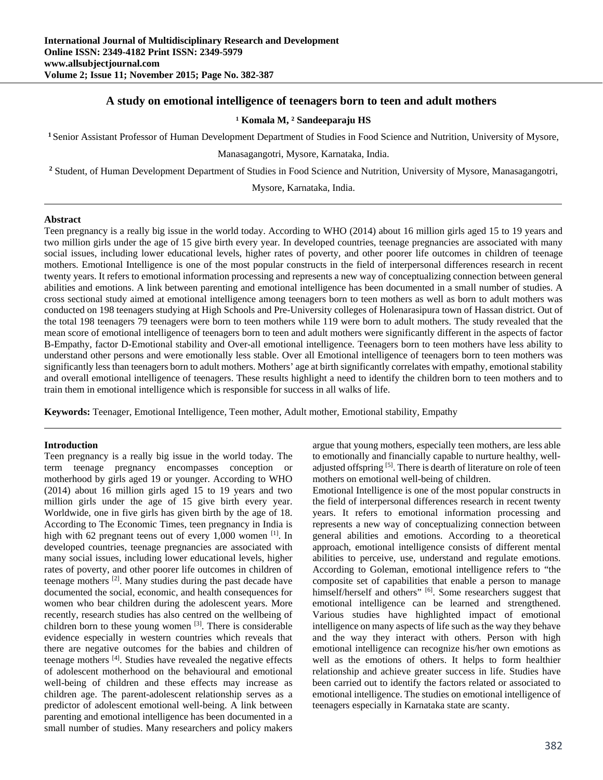# **A study on emotional intelligence of teenagers born to teen and adult mothers**

#### **¹ Komala M, ² Sandeeparaju HS**

**<sup>1</sup>** Senior Assistant Professor of Human Development Department of Studies in Food Science and Nutrition, University of Mysore,

Manasagangotri, Mysore, Karnataka, India.

<sup>2</sup> Student, of Human Development Department of Studies in Food Science and Nutrition, University of Mysore, Manasagangotri,

Mysore, Karnataka, India.

#### **Abstract**

Teen pregnancy is a really big issue in the world today. According to WHO (2014) about 16 million girls aged 15 to 19 years and two million girls under the age of 15 give birth every year. In developed countries, teenage pregnancies are associated with many social issues, including lower educational levels, higher rates of poverty, and other poorer life outcomes in children of teenage mothers. Emotional Intelligence is one of the most popular constructs in the field of interpersonal differences research in recent twenty years. It refers to emotional information processing and represents a new way of conceptualizing connection between general abilities and emotions. A link between parenting and emotional intelligence has been documented in a small number of studies. A cross sectional study aimed at emotional intelligence among teenagers born to teen mothers as well as born to adult mothers was conducted on 198 teenagers studying at High Schools and Pre-University colleges of Holenarasipura town of Hassan district. Out of the total 198 teenagers 79 teenagers were born to teen mothers while 119 were born to adult mothers. The study revealed that the mean score of emotional intelligence of teenagers born to teen and adult mothers were significantly different in the aspects of factor B-Empathy, factor D-Emotional stability and Over-all emotional intelligence. Teenagers born to teen mothers have less ability to understand other persons and were emotionally less stable. Over all Emotional intelligence of teenagers born to teen mothers was significantly less than teenagers born to adult mothers. Mothers' age at birth significantly correlates with empathy, emotional stability and overall emotional intelligence of teenagers. These results highlight a need to identify the children born to teen mothers and to train them in emotional intelligence which is responsible for success in all walks of life.

**Keywords:** Teenager, Emotional Intelligence, Teen mother, Adult mother, Emotional stability, Empathy

### **Introduction**

Teen pregnancy is a really big issue in the world today. The term teenage pregnancy encompasses conception or motherhood by girls aged 19 or younger. According to WHO (2014) about 16 million girls aged 15 to 19 years and two million girls under the age of 15 give birth every year. Worldwide, one in five girls has given birth by the age of 18. According to The Economic Times, teen pregnancy in India is high with 62 pregnant teens out of every 1,000 women [1]. In developed countries, teenage pregnancies are associated with many social issues, including lower educational levels, higher rates of poverty, and other poorer life outcomes in children of teenage mothers [2]. Many studies during the past decade have documented the social, economic, and health consequences for women who bear children during the adolescent years. More recently, research studies has also centred on the wellbeing of children born to these young women  $[3]$ . There is considerable evidence especially in western countries which reveals that there are negative outcomes for the babies and children of teenage mothers [4]. Studies have revealed the negative effects of adolescent motherhood on the behavioural and emotional well-being of children and these effects may increase as children age. The parent-adolescent relationship serves as a predictor of adolescent emotional well-being. A link between parenting and emotional intelligence has been documented in a small number of studies. Many researchers and policy makers

argue that young mothers, especially teen mothers, are less able to emotionally and financially capable to nurture healthy, welladjusted offspring  $[5]$ . There is dearth of literature on role of teen mothers on emotional well-being of children.

Emotional Intelligence is one of the most popular constructs in the field of interpersonal differences research in recent twenty years. It refers to emotional information processing and represents a new way of conceptualizing connection between general abilities and emotions. According to a theoretical approach, emotional intelligence consists of different mental abilities to perceive, use, understand and regulate emotions. According to Goleman, emotional intelligence refers to "the composite set of capabilities that enable a person to manage himself/herself and others" [6]. Some researchers suggest that emotional intelligence can be learned and strengthened. Various studies have highlighted impact of emotional intelligence on many aspects of life such as the way they behave and the way they interact with others. Person with high emotional intelligence can recognize his/her own emotions as well as the emotions of others. It helps to form healthier relationship and achieve greater success in life. Studies have been carried out to identify the factors related or associated to emotional intelligence. The studies on emotional intelligence of teenagers especially in Karnataka state are scanty.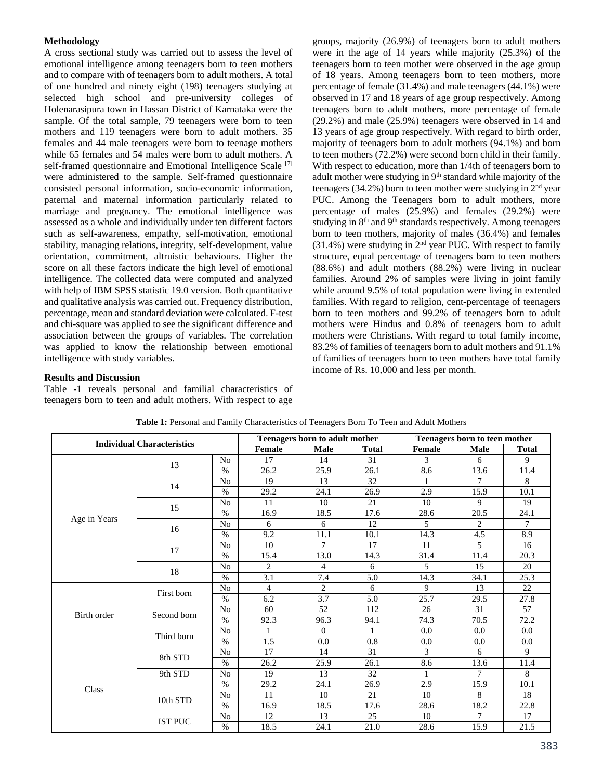## **Methodology**

A cross sectional study was carried out to assess the level of emotional intelligence among teenagers born to teen mothers and to compare with of teenagers born to adult mothers. A total of one hundred and ninety eight (198) teenagers studying at selected high school and pre-university colleges of Holenarasipura town in Hassan District of Karnataka were the sample. Of the total sample, 79 teenagers were born to teen mothers and 119 teenagers were born to adult mothers. 35 females and 44 male teenagers were born to teenage mothers while 65 females and 54 males were born to adult mothers. A self-framed questionnaire and Emotional Intelligence Scale <sup>[7]</sup> were administered to the sample. Self-framed questionnaire consisted personal information, socio-economic information, paternal and maternal information particularly related to marriage and pregnancy. The emotional intelligence was assessed as a whole and individually under ten different factors such as self-awareness, empathy, self-motivation, emotional stability, managing relations, integrity, self-development, value orientation, commitment, altruistic behaviours. Higher the score on all these factors indicate the high level of emotional intelligence. The collected data were computed and analyzed with help of IBM SPSS statistic 19.0 version. Both quantitative and qualitative analysis was carried out. Frequency distribution, percentage, mean and standard deviation were calculated. F-test and chi-square was applied to see the significant difference and association between the groups of variables. The correlation was applied to know the relationship between emotional intelligence with study variables.

groups, majority (26.9%) of teenagers born to adult mothers were in the age of 14 years while majority (25.3%) of the teenagers born to teen mother were observed in the age group of 18 years. Among teenagers born to teen mothers, more percentage of female (31.4%) and male teenagers (44.1%) were observed in 17 and 18 years of age group respectively. Among teenagers born to adult mothers, more percentage of female (29.2%) and male (25.9%) teenagers were observed in 14 and 13 years of age group respectively. With regard to birth order, majority of teenagers born to adult mothers (94.1%) and born to teen mothers (72.2%) were second born child in their family. With respect to education, more than 1/4th of teenagers born to adult mother were studying in 9<sup>th</sup> standard while majority of the teenagers (34.2%) born to teen mother were studying in 2nd year PUC. Among the Teenagers born to adult mothers, more percentage of males (25.9%) and females (29.2%) were studying in 8<sup>th</sup> and 9<sup>th</sup> standards respectively. Among teenagers born to teen mothers, majority of males (36.4%) and females (31.4%) were studying in  $2<sup>nd</sup>$  year PUC. With respect to family structure, equal percentage of teenagers born to teen mothers (88.6%) and adult mothers (88.2%) were living in nuclear families. Around 2% of samples were living in joint family while around 9.5% of total population were living in extended families. With regard to religion, cent-percentage of teenagers born to teen mothers and 99.2% of teenagers born to adult mothers were Hindus and 0.8% of teenagers born to adult mothers were Christians. With regard to total family income, 83.2% of families of teenagers born to adult mothers and 91.1% of families of teenagers born to teen mothers have total family income of Rs. 10,000 and less per month.

#### **Results and Discussion**

Table -1 reveals personal and familial characteristics of teenagers born to teen and adult mothers. With respect to age

|              | <b>Individual Characteristics</b> |                |                | Teenagers born to adult mother |              | Teenagers born to teen mother |                |                |  |
|--------------|-----------------------------------|----------------|----------------|--------------------------------|--------------|-------------------------------|----------------|----------------|--|
|              |                                   |                | Female         | <b>Male</b>                    | <b>Total</b> | <b>Female</b>                 | Male           | <b>Total</b>   |  |
|              |                                   | N <sub>o</sub> | 17             | 14                             | 31           | 3                             | 6              | 9              |  |
|              | 13                                | $\%$           | 26.2           | 25.9                           | 26.1         | 8.6                           | 13.6           | 11.4           |  |
|              | 14                                | N <sub>o</sub> | 19             | 13                             | 32           |                               | 7              | 8              |  |
|              |                                   | $\%$           | 29.2           | 24.1                           | 26.9         | 2.9                           | 15.9           | 10.1           |  |
|              | 15                                | N <sub>o</sub> | 11             | 10                             | 21           | 10                            | 9              | 19             |  |
|              |                                   | $\%$           | 16.9           | 18.5                           | 17.6         | 28.6                          | 20.5           | 24.1           |  |
| Age in Years | 16                                | N <sub>o</sub> | 6              | 6                              | 12           | 5                             | $\overline{2}$ | $\overline{7}$ |  |
|              |                                   | $\%$           | 9.2            | 11.1                           | 10.1         | 14.3                          | 4.5            | 8.9            |  |
|              | 17                                | No             | 10             | $\overline{7}$                 | 17           | 11                            | $\overline{5}$ | 16             |  |
|              |                                   | $\%$           | 15.4           | 13.0                           | 14.3         | 31.4                          | 11.4           | 20.3           |  |
|              | 18                                | N <sub>o</sub> | 2              | 4                              | 6            | 5                             | 15             | 20             |  |
|              |                                   | $\%$           | 3.1            | 7.4                            | 5.0          | 14.3                          | 34.1           | 25.3           |  |
|              | First born                        | No             | $\overline{4}$ | $\overline{2}$                 | 6            | 9                             | 13             | 22             |  |
|              |                                   | $\%$           | 6.2            | 3.7                            | 5.0          | 25.7                          | 29.5           | 27.8           |  |
| Birth order  | Second born                       | N <sub>0</sub> | 60             | 52                             | 112          | 26                            | 31             | 57             |  |
|              |                                   | $\%$           | 92.3           | 96.3                           | 94.1         | 74.3                          | 70.5           | 72.2           |  |
|              | Third born                        | N <sub>0</sub> | 1              | $\Omega$                       |              | 0.0                           | 0.0            | 0.0            |  |
|              |                                   | $\%$           | 1.5            | 0.0                            | 0.8          | 0.0                           | $0.0\,$        | 0.0            |  |
|              | 8th STD                           | N <sub>o</sub> | 17             | 14                             | 31           | 3                             | 6              | 9              |  |
|              |                                   | $\%$           | 26.2           | 25.9                           | 26.1         | 8.6                           | 13.6           | 11.4           |  |
|              | 9th STD                           | No             | 19             | 13                             | 32           |                               | 7              | 8              |  |
| Class        |                                   | $\%$           | 29.2           | 24.1                           | 26.9         | 2.9                           | 15.9           | 10.1           |  |
|              | 10th STD                          | No             | 11             | 10                             | 21           | 10                            | 8              | 18             |  |
|              |                                   | $\%$           | 16.9           | 18.5                           | 17.6         | 28.6                          | 18.2           | 22.8           |  |
|              | <b>IST PUC</b>                    | No             | 12             | 13                             | 25           | 10                            | $\overline{7}$ | 17             |  |
|              |                                   | $\%$           | 18.5           | 24.1                           | 21.0         | 28.6                          | 15.9           | 21.5           |  |

**Table 1:** Personal and Family Characteristics of Teenagers Born To Teen and Adult Mothers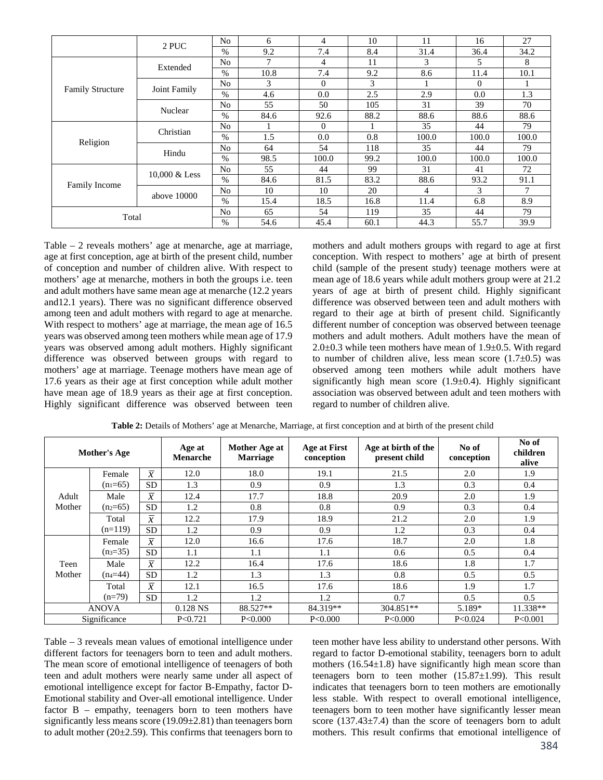|                         | 2 PUC         | N <sub>o</sub> | 6    | 4        | 10   | 11    | 16       | 27    |
|-------------------------|---------------|----------------|------|----------|------|-------|----------|-------|
|                         |               | $\%$           | 9.2  | 7.4      | 8.4  | 31.4  | 36.4     | 34.2  |
|                         | Extended      | No             | 7    | 4        | 11   | 3     | 5        | 8     |
|                         |               | $\%$           | 10.8 | 7.4      | 9.2  | 8.6   | 11.4     | 10.1  |
| <b>Family Structure</b> | Joint Family  | No             | 3    | $\Omega$ | 3    |       | $\Omega$ |       |
|                         |               | $\%$           | 4.6  | 0.0      | 2.5  | 2.9   | 0.0      | 1.3   |
|                         | Nuclear       | N <sub>o</sub> | 55   | 50       | 105  | 31    | 39       | 70    |
|                         |               | $\%$           | 84.6 | 92.6     | 88.2 | 88.6  | 88.6     | 88.6  |
|                         | Christian     | N <sub>o</sub> |      | $\Omega$ |      | 35    | 44       | 79    |
|                         |               | $\%$           | 1.5  | 0.0      | 0.8  | 100.0 | 100.0    | 100.0 |
| Religion                |               | N <sub>o</sub> | 64   | 54       | 118  | 35    | 44       | 79    |
|                         | Hindu         | $\%$           | 98.5 | 100.0    | 99.2 | 100.0 | 100.0    | 100.0 |
|                         | 10,000 & Less | N <sub>o</sub> | 55   | 44       | 99   | 31    | 41       | 72    |
|                         |               | $\%$           | 84.6 | 81.5     | 83.2 | 88.6  | 93.2     | 91.1  |
| <b>Family Income</b>    | above 10000   | N <sub>o</sub> | 10   | 10       | 20   | 4     | 3        | 7     |
|                         |               | $\%$           | 15.4 | 18.5     | 16.8 | 11.4  | 6.8      | 8.9   |
| Total                   |               | No             | 65   | 54       | 119  | 35    | 44       | 79    |
|                         |               | %              | 54.6 | 45.4     | 60.1 | 44.3  | 55.7     | 39.9  |

Table – 2 reveals mothers' age at menarche, age at marriage, age at first conception, age at birth of the present child, number of conception and number of children alive. With respect to mothers' age at menarche, mothers in both the groups i.e. teen and adult mothers have same mean age at menarche (12.2 years and12.1 years). There was no significant difference observed among teen and adult mothers with regard to age at menarche. With respect to mothers' age at marriage, the mean age of 16.5 years was observed among teen mothers while mean age of 17.9 years was observed among adult mothers. Highly significant difference was observed between groups with regard to mothers' age at marriage. Teenage mothers have mean age of 17.6 years as their age at first conception while adult mother have mean age of 18.9 years as their age at first conception. Highly significant difference was observed between teen mothers and adult mothers groups with regard to age at first conception. With respect to mothers' age at birth of present child (sample of the present study) teenage mothers were at mean age of 18.6 years while adult mothers group were at 21.2 years of age at birth of present child. Highly significant difference was observed between teen and adult mothers with regard to their age at birth of present child. Significantly different number of conception was observed between teenage mothers and adult mothers. Adult mothers have the mean of  $2.0\pm0.3$  while teen mothers have mean of  $1.9\pm0.5$ . With regard to number of children alive, less mean score  $(1.7\pm0.5)$  was observed among teen mothers while adult mothers have significantly high mean score  $(1.9\pm0.4)$ . Highly significant association was observed between adult and teen mothers with regard to number of children alive.

|                 | <b>Mother's Age</b> |                | Age at<br><b>Menarche</b> | Mother Age at<br>Marriage | Age at First<br>conception | Age at birth of the<br>present child | No of<br>conception | No of<br>children<br>alive |
|-----------------|---------------------|----------------|---------------------------|---------------------------|----------------------------|--------------------------------------|---------------------|----------------------------|
|                 | Female              | $\overline{x}$ | 12.0                      | 18.0                      | 19.1                       | 21.5                                 | 2.0                 | 1.9                        |
|                 | $(n_1=65)$          | <b>SD</b>      | 1.3                       | 0.9                       | 0.9                        | 1.3                                  | 0.3                 | 0.4                        |
| Adult<br>Mother | Male                | $\overline{x}$ | 12.4                      | 17.7                      | 18.8                       | 20.9                                 | 2.0                 | 1.9                        |
|                 | $(n_2=65)$          | <b>SD</b>      | 1.2                       | 0.8                       | 0.8                        | 0.9                                  | 0.3                 | 0.4                        |
|                 | Total               | $\overline{x}$ | 12.2                      | 17.9                      | 18.9                       | 21.2                                 | 2.0                 | 1.9                        |
|                 | $(n=119)$           | <b>SD</b>      | 1.2                       | 0.9                       | 0.9                        | 1.2                                  | 0.3                 | 0.4                        |
|                 | Female              | $\overline{x}$ | 12.0                      | 16.6                      | 17.6                       | 18.7                                 | 2.0                 | 1.8                        |
|                 | $(n_3=35)$          | SD.            | 1.1                       | 1.1                       | 1.1                        | 0.6                                  | 0.5                 | 0.4                        |
| Teen            | Male                | $\overline{x}$ | 12.2                      | 16.4                      | 17.6                       | 18.6                                 | 1.8                 | 1.7                        |
| Mother          | $(n_4=44)$          | <b>SD</b>      | 1.2                       | 1.3                       | 1.3                        | 0.8                                  | 0.5                 | 0.5                        |
|                 | Total               | $\overline{x}$ | 12.1                      | 16.5                      | 17.6                       | 18.6                                 | 1.9                 | 1.7                        |
|                 | $(n=79)$            | SD.            | 1.2                       | 1.2                       | 1.2                        | 0.7                                  | 0.5                 | 0.5                        |
| <b>ANOVA</b>    |                     |                | $0.128$ NS                | 88.527**                  | 84.319**                   | 304.851**                            | $5.189*$            | 11.338**                   |
|                 | Significance        |                | P < 0.721                 | P<0.000                   | P<0.000                    | P<0.000                              | P < 0.024           | P<0.001                    |

**Table 2:** Details of Mothers' age at Menarche, Marriage, at first conception and at birth of the present child

Table – 3 reveals mean values of emotional intelligence under different factors for teenagers born to teen and adult mothers. The mean score of emotional intelligence of teenagers of both teen and adult mothers were nearly same under all aspect of emotional intelligence except for factor B-Empathy, factor D-Emotional stability and Over-all emotional intelligence. Under factor B – empathy, teenagers born to teen mothers have significantly less means score  $(19.09 \pm 2.81)$  than teenagers born to adult mother  $(20\pm 2.59)$ . This confirms that teenagers born to

teen mother have less ability to understand other persons. With regard to factor D-emotional stability, teenagers born to adult mothers  $(16.54\pm1.8)$  have significantly high mean score than teenagers born to teen mother (15.87±1.99). This result indicates that teenagers born to teen mothers are emotionally less stable. With respect to overall emotional intelligence, teenagers born to teen mother have significantly lesser mean score (137.43 $\pm$ 7.4) than the score of teenagers born to adult mothers. This result confirms that emotional intelligence of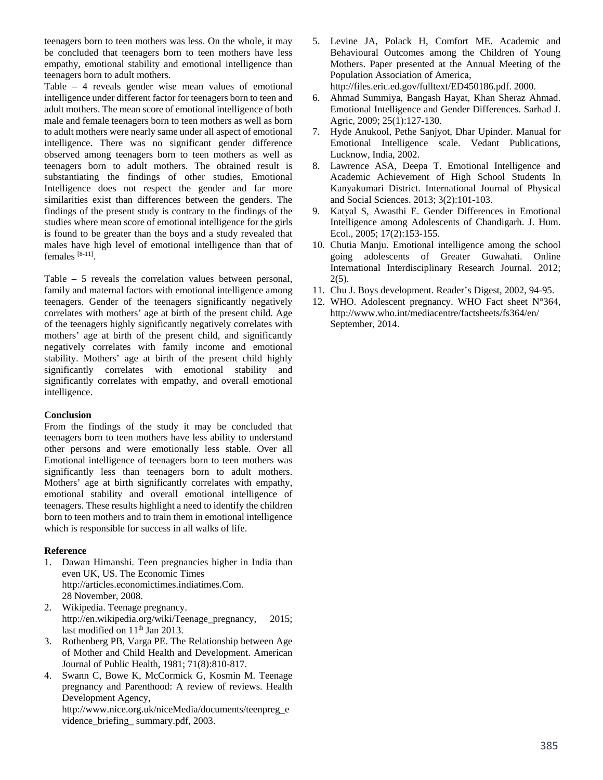teenagers born to teen mothers was less. On the whole, it may be concluded that teenagers born to teen mothers have less empathy, emotional stability and emotional intelligence than teenagers born to adult mothers.

Table – 4 reveals gender wise mean values of emotional intelligence under different factor for teenagers born to teen and adult mothers. The mean score of emotional intelligence of both male and female teenagers born to teen mothers as well as born to adult mothers were nearly same under all aspect of emotional intelligence. There was no significant gender difference observed among teenagers born to teen mothers as well as teenagers born to adult mothers. The obtained result is substantiating the findings of other studies, Emotional Intelligence does not respect the gender and far more similarities exist than differences between the genders. The findings of the present study is contrary to the findings of the studies where mean score of emotional intelligence for the girls is found to be greater than the boys and a study revealed that males have high level of emotional intelligence than that of females [8-11].

Table – 5 reveals the correlation values between personal, family and maternal factors with emotional intelligence among teenagers. Gender of the teenagers significantly negatively correlates with mothers' age at birth of the present child. Age of the teenagers highly significantly negatively correlates with mothers' age at birth of the present child, and significantly negatively correlates with family income and emotional stability. Mothers' age at birth of the present child highly significantly correlates with emotional stability and significantly correlates with empathy, and overall emotional intelligence.

## **Conclusion**

From the findings of the study it may be concluded that teenagers born to teen mothers have less ability to understand other persons and were emotionally less stable. Over all Emotional intelligence of teenagers born to teen mothers was significantly less than teenagers born to adult mothers. Mothers' age at birth significantly correlates with empathy, emotional stability and overall emotional intelligence of teenagers. These results highlight a need to identify the children born to teen mothers and to train them in emotional intelligence which is responsible for success in all walks of life.

## **Reference**

- 1. Dawan Himanshi. Teen pregnancies higher in India than even UK, US. The Economic Times http://articles.economictimes.indiatimes.Com. 28 November, 2008.
- 2. Wikipedia. Teenage pregnancy. http://en.wikipedia.org/wiki/Teenage\_pregnancy, 2015; last modified on  $11<sup>th</sup>$  Jan 2013.
- 3. Rothenberg PB, Varga PE. The Relationship between Age of Mother and Child Health and Development. American Journal of Public Health, 1981; 71(8):810-817.
- 4. Swann C, Bowe K, McCormick G, Kosmin M. Teenage pregnancy and Parenthood: A review of reviews. Health Development Agency,

http://www.nice.org.uk/niceMedia/documents/teenpreg\_e vidence\_briefing\_ summary.pdf, 2003.

5. Levine JA, Polack H, Comfort ME. Academic and Behavioural Outcomes among the Children of Young Mothers. Paper presented at the Annual Meeting of the Population Association of America,

http://files.eric.ed.gov/fulltext/ED450186.pdf. 2000.

- 6. Ahmad Summiya, Bangash Hayat, Khan Sheraz Ahmad. Emotional Intelligence and Gender Differences. Sarhad J. Agric, 2009; 25(1):127-130.
- 7. Hyde Anukool, Pethe Sanjyot, Dhar Upinder. Manual for Emotional Intelligence scale. Vedant Publications, Lucknow, India, 2002.
- 8. Lawrence ASA, Deepa T. Emotional Intelligence and Academic Achievement of High School Students In Kanyakumari District. International Journal of Physical and Social Sciences. 2013; 3(2):101-103.
- 9. Katyal S, Awasthi E. Gender Differences in Emotional Intelligence among Adolescents of Chandigarh. J. Hum. Ecol., 2005; 17(2):153-155.
- 10. Chutia Manju. Emotional intelligence among the school going adolescents of Greater Guwahati. Online International Interdisciplinary Research Journal. 2012; 2(5).
- 11. Chu J. Boys development. Reader's Digest, 2002, 94-95.
- 12. WHO. Adolescent pregnancy. WHO Fact sheet N°364, http://www.who.int/mediacentre/factsheets/fs364/en/ September, 2014.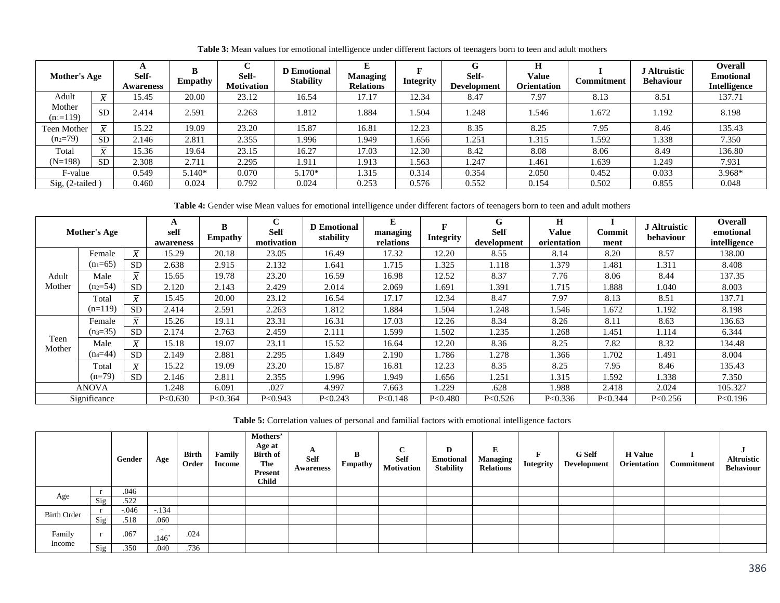| Mother's Age          |              | n<br>Self-<br><b>Awareness</b> | B<br><b>Empathy</b> | Self-<br>Motivation | <b>D</b> Emotional<br><b>Stability</b> | L.<br><b>Managing</b><br><b>Relations</b> | <b>Integrity</b> | v<br>Self-<br><b>Development</b> | Н<br>Value<br><b>Orientation</b> | Commitment | <b>J</b> Altruistic<br><b>Behaviour</b> | <b>Overall</b><br><b>Emotional</b><br><b>Intelligence</b> |
|-----------------------|--------------|--------------------------------|---------------------|---------------------|----------------------------------------|-------------------------------------------|------------------|----------------------------------|----------------------------------|------------|-----------------------------------------|-----------------------------------------------------------|
| Adult                 | $\bullet$    | 15.45                          | 20.00               | 23.12               | 16.54                                  | 17.17                                     | 12.34            | 8.47                             | 7.97                             | 8.13       | 8.51                                    | 137.71                                                    |
| Mother<br>$(n_1=119)$ | <b>SD</b>    | 2.414                          | 2.591               | 2.263               | 1.812                                  | .884                                      | .504             | .248                             | .546                             | 1.672      | 1.192                                   | 8.198                                                     |
| Teen Mother           | $\bullet$    | 15.22                          | 19.09               | 23.20               | 15.87                                  | 16.81                                     | 12.23            | 8.35                             | 8.25                             | 7.95       | 8.46                                    | 135.43                                                    |
| $(n_2=79)$            | <b>SD</b>    | 2.146                          | 2.811               | 2.355               | 1.996                                  | L.949                                     | .656             | 1.251                            | 1.315                            | 1.592      | 1.338                                   | 7.350                                                     |
| Total                 | $\mathbf{r}$ | 15.36                          | 19.64               | 23.15               | 16.27                                  | 17.03                                     | 12.30            | 8.42                             | 8.08                             | 8.06       | 8.49                                    | 136.80                                                    |
| $(N=198)$             | <b>SD</b>    | 2.308                          | 2.711               | 2.295               | 1.911                                  | 1.913                                     | .563             | 1.247                            | 1.461                            | 1.639      | 1.249                                   | 7.931                                                     |
| F-value               |              | 0.549                          | 5.140*              | 0.070               | $5.170*$                               | 1.315                                     | 0.314            | 0.354                            | 2.050                            | 0.452      | 0.033                                   | 3.968*                                                    |
| $Sig, (2-tailed)$     |              | 0.460                          | 0.024               | 0.792               | 0.024                                  | 0.253                                     | 0.576            | 0.552                            | 0.154                            | 0.502      | 0.855                                   | 0.048                                                     |

**Table 3:** Mean values for emotional intelligence under different factors of teenagers born to teen and adult mothers

Table 4: Gender wise Mean values for emotional intelligence under different factors of teenagers born to teen and adult mothers

| <b>Mother's Age</b> |              |                                           | A<br>self<br>awareness | B<br><b>Empathy</b> | C<br><b>Self</b><br>motivation | <b>D</b> Emotional<br>stability | E<br>managing<br>relations | <b>Integrity</b> | G<br><b>Self</b><br>development | H<br>Value<br>orientation | Commit<br>ment | <b>J</b> Altruistic<br>behaviour | Overall<br>emotional<br>intelligence |
|---------------------|--------------|-------------------------------------------|------------------------|---------------------|--------------------------------|---------------------------------|----------------------------|------------------|---------------------------------|---------------------------|----------------|----------------------------------|--------------------------------------|
|                     | Female       | $\overline{x}$                            | 15.29                  | 20.18               | 23.05                          | 16.49                           | 17.32                      | 12.20            | 8.55                            | 8.14                      | 8.20           | 8.57                             | 138.00                               |
|                     | $(n_1=65)$   | <b>SD</b>                                 | 2.638                  | 2.915               | 2.132                          | 1.641                           | 1.715                      | 1.325            | 1.118                           | 1.379                     | 1.481          | 1.311                            | 8.408                                |
| Adult               | Male         | $\overline{x}$                            | 15.65                  | 19.78               | 23.20                          | 16.59                           | 16.98                      | 12.52            | 8.37                            | 7.76                      | 8.06           | 8.44                             | 137.35                               |
| Mother              | $(n_2=54)$   | <b>SD</b>                                 | 2.120                  | 2.143               | 2.429                          | 2.014                           | 2.069                      | 1.691            | l.391                           | 1.715                     | 1.888          | 1.040                            | 8.003                                |
|                     | Total        | $\overline{x}$                            | 15.45                  | 20.00               | 23.12                          | 16.54                           | 17.17                      | 12.34            | 8.47                            | 7.97                      | 8.13           | 8.51                             | 137.71                               |
|                     | $(n=119)$    | <b>SD</b>                                 | 2.414                  | 2.591               | 2.263                          | 1.812                           | 1.884                      | l.504            | 1.248                           | 1.546                     | 1.672          | 1.192                            | 8.198                                |
|                     | Female       | $\overline{\phantom{m}}$<br>$\mathcal{X}$ | 15.26                  | 19.11               | 23.31                          | 16.31                           | 17.03                      | 12.26            | 8.34                            | 8.26                      | 8.11           | 8.63                             | 136.63                               |
|                     | $(n_3=35)$   | <b>SD</b>                                 | 2.174                  | 2.763               | 2.459                          | 2.111                           | 1.599                      | 1.502            | 1.235                           | 1.268                     | 1.451          | 1.114                            | 6.344                                |
| Teen<br>Mother      | Male         | $\overline{x}$                            | 15.18                  | 19.07               | 23.11                          | 15.52                           | 16.64                      | 12.20            | 8.36                            | 8.25                      | 7.82           | 8.32                             | 134.48                               |
|                     | $(n_4 = 44)$ | <b>SD</b>                                 | 2.149                  | 2.881               | 2.295                          | 1.849                           | 2.190                      | l.786            | 1.278                           | 1.366                     | 1.702          | 1.491                            | 8.004                                |
|                     | Total        | $\overline{x}$                            | 15.22                  | 19.09               | 23.20                          | 15.87                           | 16.81                      | 12.23            | 8.35                            | 8.25                      | 7.95           | 8.46                             | 135.43                               |
|                     | $(n=79)$     | <b>SD</b>                                 | 2.146                  | 2.811               | 2.355                          | 1.996                           | 1.949                      | 1.656            | l.251                           | 1.315                     | 1.592          | 1.338                            | 7.350                                |
| <b>ANOVA</b>        |              | .248                                      | 6.091                  | .027                | 4.997                          | 7.663                           | .229                       | .628             | 1.988                           | 2.418                     | 2.024          | 105.327                          |                                      |
|                     | Significance |                                           | P < 0.630              | P < 0.364           | P < 0.943                      | P < 0.243                       | P < 0.148                  | P< 0.480         | P < 0.526                       | P<0.336                   | P < 0.344      | P < 0.256                        | P<0.196                              |

**Table 5:** Correlation values of personal and familial factors with emotional intelligence factors

|                    |     | Gender  | Age               | <b>Birth</b><br>Order | Family<br>Income | Mothers'<br>Age at<br><b>Birth of</b><br>The<br>Present<br><b>Child</b> | A<br><b>Self</b><br>Awareness | B<br><b>Empathy</b> | $\sqrt{ }$<br><b>Self</b><br><b>Motivation</b> | D<br><b>Emotional</b><br><b>Stability</b> | E<br><b>Managing</b><br><b>Relations</b> | Integrity | <b>G</b> Self<br>Development | <b>H</b> Value<br><b>Orientation</b> | Commitment | <b>Altruistic</b><br><b>Behaviour</b> |
|--------------------|-----|---------|-------------------|-----------------------|------------------|-------------------------------------------------------------------------|-------------------------------|---------------------|------------------------------------------------|-------------------------------------------|------------------------------------------|-----------|------------------------------|--------------------------------------|------------|---------------------------------------|
|                    |     | .046    |                   |                       |                  |                                                                         |                               |                     |                                                |                                           |                                          |           |                              |                                      |            |                                       |
| Age                | Sig | .522    |                   |                       |                  |                                                                         |                               |                     |                                                |                                           |                                          |           |                              |                                      |            |                                       |
| <b>Birth Order</b> |     | $-.046$ | $-134$            |                       |                  |                                                                         |                               |                     |                                                |                                           |                                          |           |                              |                                      |            |                                       |
|                    | Sig | .518    | .060              |                       |                  |                                                                         |                               |                     |                                                |                                           |                                          |           |                              |                                      |            |                                       |
| Family<br>Income   |     | .067    | $\sim$<br>$.146*$ | .024                  |                  |                                                                         |                               |                     |                                                |                                           |                                          |           |                              |                                      |            |                                       |
|                    | Sig | .350    | .040              | .736                  |                  |                                                                         |                               |                     |                                                |                                           |                                          |           |                              |                                      |            |                                       |